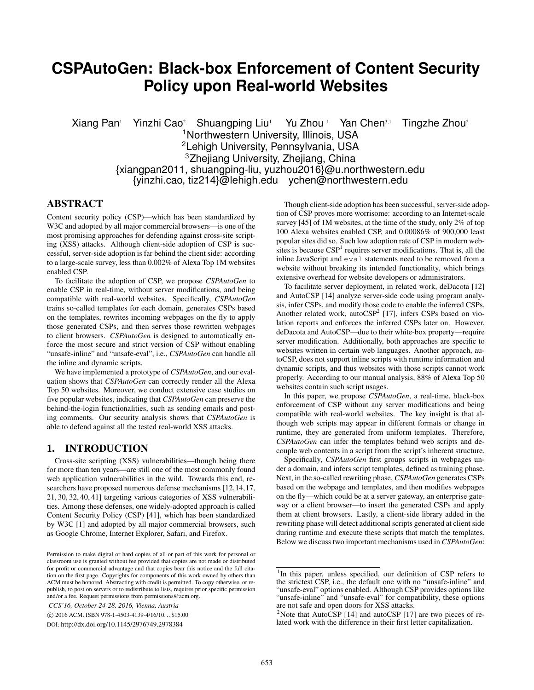# **CSPAutoGen: Black-box Enforcement of Content Security Policy upon Real-world Websites**

Xiang Pan<sup>1</sup> Yinzhi Cao<sup>2</sup> Shuangping Liu<sup>1</sup> Yu Zhou <sup>1</sup> Yan Chen<sup>3,1</sup> Tingzhe Zhou<sup>2</sup> <sup>1</sup>Northwestern University, Illinois, USA <sup>2</sup>Lehigh University, Pennsylvania, USA <sup>3</sup>Zhejiang University, Zhejiang, China {xiangpan2011, shuangping-liu, yuzhou2016}@u.northwestern.edu {yinzhi.cao, tiz214}@lehigh.edu ychen@northwestern.edu

## ABSTRACT

Content security policy (CSP)—which has been standardized by W3C and adopted by all major commercial browsers—is one of the most promising approaches for defending against cross-site scripting (XSS) attacks. Although client-side adoption of CSP is successful, server-side adoption is far behind the client side: according to a large-scale survey, less than 0.002% of Alexa Top 1M websites enabled CSP.

To facilitate the adoption of CSP, we propose *CSPAutoGen* to enable CSP in real-time, without server modifications, and being compatible with real-world websites. Specifically, *CSPAutoGen* trains so-called templates for each domain, generates CSPs based on the templates, rewrites incoming webpages on the fly to apply those generated CSPs, and then serves those rewritten webpages to client browsers. *CSPAutoGen* is designed to automatically enforce the most secure and strict version of CSP without enabling "unsafe-inline" and "unsafe-eval", i.e., *CSPAutoGen* can handle all the inline and dynamic scripts.

We have implemented a prototype of *CSPAutoGen*, and our evaluation shows that *CSPAutoGen* can correctly render all the Alexa Top 50 websites. Moreover, we conduct extensive case studies on five popular websites, indicating that *CSPAutoGen* can preserve the behind-the-login functionalities, such as sending emails and posting comments. Our security analysis shows that *CSPAutoGen* is able to defend against all the tested real-world XSS attacks.

## 1. INTRODUCTION

Cross-site scripting (XSS) vulnerabilities—though being there for more than ten years—are still one of the most commonly found web application vulnerabilities in the wild. Towards this end, researchers have proposed numerous defense mechanisms [12,14,17, 21, 30, 32, 40, 41] targeting various categories of XSS vulnerabilities. Among these defenses, one widely-adopted approach is called Content Security Policy (CSP) [41], which has been standardized by W3C [1] and adopted by all major commercial browsers, such as Google Chrome, Internet Explorer, Safari, and Firefox.

*CCS'16, October 24-28, 2016, Vienna, Austria*

c 2016 ACM. ISBN 978-1-4503-4139-4/16/10. . . \$15.00

DOI: http://dx.doi.org/10.1145/2976749.2978384

Though client-side adoption has been successful, server-side adoption of CSP proves more worrisome: according to an Internet-scale survey [45] of 1M websites, at the time of the study, only 2% of top 100 Alexa websites enabled CSP, and 0.00086% of 900,000 least popular sites did so. Such low adoption rate of CSP in modern websites is because  $CSP<sup>1</sup>$  requires server modifications. That is, all the inline JavaScript and eval statements need to be removed from a website without breaking its intended functionality, which brings extensive overhead for website developers or administrators.

To facilitate server deployment, in related work, deDacota [12] and AutoCSP [14] analyze server-side code using program analysis, infer CSPs, and modify those code to enable the inferred CSPs. Another related work, autoCSP<sup>2</sup> [17], infers CSPs based on violation reports and enforces the inferred CSPs later on. However, deDacota and AutoCSP—due to their white-box property—require server modification. Additionally, both approaches are specific to websites written in certain web languages. Another approach, autoCSP, does not support inline scripts with runtime information and dynamic scripts, and thus websites with those scripts cannot work properly. According to our manual analysis, 88% of Alexa Top 50 websites contain such script usages.

In this paper, we propose *CSPAutoGen*, a real-time, black-box enforcement of CSP without any server modifications and being compatible with real-world websites. The key insight is that although web scripts may appear in different formats or change in runtime, they are generated from uniform templates. Therefore, *CSPAutoGen* can infer the templates behind web scripts and decouple web contents in a script from the script's inherent structure.

Specifically, *CSPAutoGen* first groups scripts in webpages under a domain, and infers script templates, defined as training phase. Next, in the so-called rewriting phase, *CSPAutoGen* generates CSPs based on the webpage and templates, and then modifies webpages on the fly—which could be at a server gateway, an enterprise gateway or a client browser—to insert the generated CSPs and apply them at client browsers. Lastly, a client-side library added in the rewriting phase will detect additional scripts generated at client side during runtime and execute these scripts that match the templates. Below we discuss two important mechanisms used in *CSPAutoGen*:

Permission to make digital or hard copies of all or part of this work for personal or classroom use is granted without fee provided that copies are not made or distributed for profit or commercial advantage and that copies bear this notice and the full citation on the first page. Copyrights for components of this work owned by others than ACM must be honored. Abstracting with credit is permitted. To copy otherwise, or republish, to post on servers or to redistribute to lists, requires prior specific permission and/or a fee. Request permissions from permissions@acm.org.

<sup>&</sup>lt;sup>1</sup>In this paper, unless specified, our definition of CSP refers to the strictest CSP, i.e., the default one with no "unsafe-inline" and "unsafe-eval" options enabled. Although CSP provides options like "unsafe-inline" and "unsafe-eval" for compatibility, these options are not safe and open doors for XSS attacks.

<sup>&</sup>lt;sup>2</sup>Note that AutoCSP [14] and autoCSP [17] are two pieces of related work with the difference in their first letter capitalization.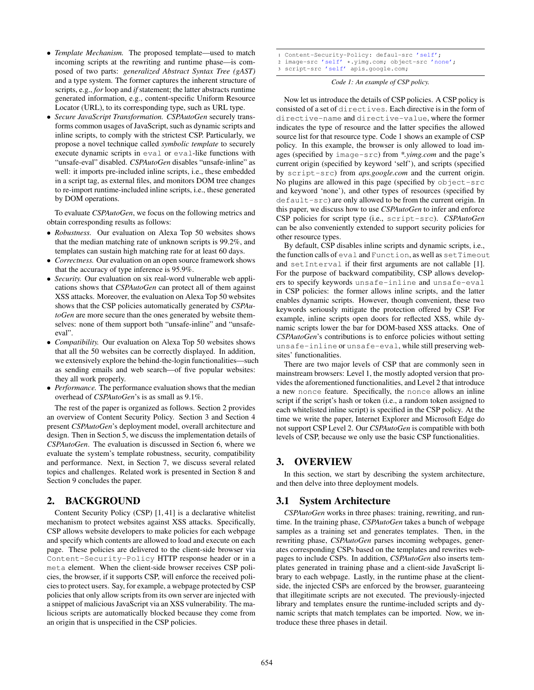- *Template Mechanism.* The proposed template—used to match incoming scripts at the rewriting and runtime phase—is composed of two parts: *generalized Abstract Syntax Tree (gAST)* and a type system. The former captures the inherent structure of scripts, e.g., *for* loop and *if* statement; the latter abstracts runtime generated information, e.g., content-specific Uniform Resource Locator (URL), to its corresponding type, such as URL type.
- *Secure JavaScript Transformation. CSPAutoGen* securely transforms common usages of JavaScript, such as dynamic scripts and inline scripts, to comply with the strictest CSP. Particularly, we propose a novel technique called *symbolic template* to securely execute dynamic scripts in eval or eval-like functions with "unsafe-eval" disabled. *CSPAutoGen* disables "unsafe-inline" as well: it imports pre-included inline scripts, i.e., these embedded in a script tag, as external files, and monitors DOM tree changes to re-import runtime-included inline scripts, i.e., these generated by DOM operations.

To evaluate *CSPAutoGen*, we focus on the following metrics and obtain corresponding results as follows:

- *Robustness.* Our evaluation on Alexa Top 50 websites shows that the median matching rate of unknown scripts is 99.2%, and templates can sustain high matching rate for at least 60 days.
- *Correctness.* Our evaluation on an open source framework shows that the accuracy of type inference is 95.9%.
- *Security.* Our evaluation on six real-word vulnerable web applications shows that *CSPAutoGen* can protect all of them against XSS attacks. Moreover, the evaluation on Alexa Top 50 websites shows that the CSP policies automatically generated by *CSPAutoGen* are more secure than the ones generated by website themselves: none of them support both "unsafe-inline" and "unsafeeval".
- *Compatibility.* Our evaluation on Alexa Top 50 websites shows that all the 50 websites can be correctly displayed. In addition, we extensively explore the behind-the-login functionalities—such as sending emails and web search—of five popular websites: they all work properly.
- *Performance.* The performance evaluation shows that the median overhead of *CSPAutoGen*'s is as small as 9.1%.

The rest of the paper is organized as follows. Section 2 provides an overview of Content Security Policy. Section 3 and Section 4 present *CSPAutoGen*'s deployment model, overall architecture and design. Then in Section 5, we discuss the implementation details of *CSPAutoGen*. The evaluation is discussed in Section 6, where we evaluate the system's template robustness, security, compatibility and performance. Next, in Section 7, we discuss several related topics and challenges. Related work is presented in Section 8 and Section 9 concludes the paper.

# 2. BACKGROUND

Content Security Policy (CSP) [1, 41] is a declarative whitelist mechanism to protect websites against XSS attacks. Specifically, CSP allows website developers to make policies for each webpage and specify which contents are allowed to load and execute on each page. These policies are delivered to the client-side browser via Content-Security-Policy HTTP response header or in a meta element. When the client-side browser receives CSP policies, the browser, if it supports CSP, will enforce the received policies to protect users. Say, for example, a webpage protected by CSP policies that only allow scripts from its own server are injected with a snippet of malicious JavaScript via an XSS vulnerability. The malicious scripts are automatically blocked because they come from an origin that is unspecified in the CSP policies.

- 1 Content-Security-Policy: defaul-src 'self';
- <sup>2</sup> image-src 'self' \*.yimg.com; object-src 'none';
- 3 script-src 'self' apis.google.com;

*Code 1: An example of CSP policy.*

Now let us introduce the details of CSP policies. A CSP policy is consisted of a set of directives. Each directive is in the form of directive-name and directive-value, where the former indicates the type of resource and the latter specifies the allowed source list for that resource type. Code 1 shows an example of CSP policy. In this example, the browser is only allowed to load images (specified by image-src) from *\*.yimg.com* and the page's current origin (specified by keyword 'self'), and scripts (specified by script-src) from *aps.google.com* and the current origin. No plugins are allowed in this page (specified by object-src and keyword 'none'), and other types of resources (specified by default-src) are only allowed to be from the current origin. In this paper, we discuss how to use *CSPAutoGen* to infer and enforce CSP policies for script type (i.e., script-src). *CSPAutoGen* can be also conveniently extended to support security policies for other resource types.

By default, CSP disables inline scripts and dynamic scripts, i.e., the function calls of eval and Function, as well as setTimeout and setInterval if their first arguments are not callable [1]. For the purpose of backward compatibility, CSP allows developers to specify keywords unsafe-inline and unsafe-eval in CSP policies: the former allows inline scripts, and the latter enables dynamic scripts. However, though convenient, these two keywords seriously mitigate the protection offered by CSP. For example, inline scripts open doors for reflected XSS, while dynamic scripts lower the bar for DOM-based XSS attacks. One of *CSPAutoGen*'s contributions is to enforce policies without setting unsafe-inline or unsafe-eval, while still preserving websites' functionalities.

There are two major levels of CSP that are commonly seen in mainstream browsers: Level 1, the mostly adopted version that provides the aforementioned functionalities, and Level 2 that introduce a new nonce feature. Specifically, the nonce allows an inline script if the script's hash or token (i.e., a random token assigned to each whitelisted inline script) is specified in the CSP policy. At the time we write the paper, Internet Explorer and Microsoft Edge do not support CSP Level 2. Our *CSPAutoGen* is compatible with both levels of CSP, because we only use the basic CSP functionalities.

# 3. OVERVIEW

In this section, we start by describing the system architecture, and then delve into three deployment models.

# 3.1 System Architecture

*CSPAutoGen* works in three phases: training, rewriting, and runtime. In the training phase, *CSPAutoGen* takes a bunch of webpage samples as a training set and generates templates. Then, in the rewriting phase, *CSPAutoGen* parses incoming webpages, generates corresponding CSPs based on the templates and rewrites webpages to include CSPs. In addition, *CSPAutoGen* also inserts templates generated in training phase and a client-side JavaScript library to each webpage. Lastly, in the runtime phase at the clientside, the injected CSPs are enforced by the browser, guaranteeing that illegitimate scripts are not executed. The previously-injected library and templates ensure the runtime-included scripts and dynamic scripts that match templates can be imported. Now, we introduce these three phases in detail.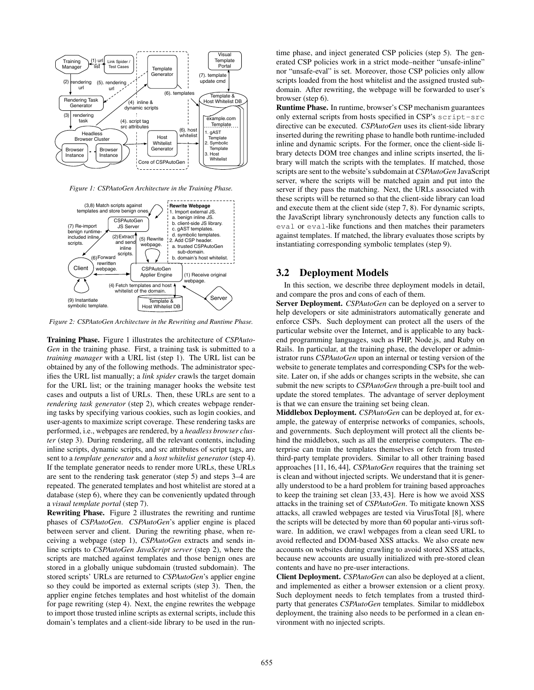

*Figure 1: CSPAutoGen Architecture in the Training Phase.*



*Figure 2: CSPAutoGen Architecture in the Rewriting and Runtime Phase.*

Training Phase. Figure 1 illustrates the architecture of *CSPAuto-Gen* in the training phase. First, a training task is submitted to a *training manager* with a URL list (step 1). The URL list can be obtained by any of the following methods. The administrator specifies the URL list manually; a *link spider* crawls the target domain for the URL list; or the training manager hooks the website test cases and outputs a list of URLs. Then, these URLs are sent to a *rendering task generator* (step 2), which creates webpage rendering tasks by specifying various cookies, such as login cookies, and user-agents to maximize script coverage. These rendering tasks are performed, i.e., webpages are rendered, by a *headless browser cluster* (step 3). During rendering, all the relevant contents, including inline scripts, dynamic scripts, and src attributes of script tags, are sent to a *template generator* and a *host whitelist generator* (step 4). If the template generator needs to render more URLs, these URLs are sent to the rendering task generator (step 5) and steps 3–4 are repeated. The generated templates and host whitelist are stored at a database (step 6), where they can be conveniently updated through a *visual template portal* (step 7).

Rewriting Phase. Figure 2 illustrates the rewriting and runtime phases of *CSPAutoGen*. *CSPAutoGen*'s applier engine is placed between server and client. During the rewriting phase, when receiving a webpage (step 1), *CSPAutoGen* extracts and sends inline scripts to *CSPAutoGen JavaScript server* (step 2), where the scripts are matched against templates and those benign ones are stored in a globally unique subdomain (trusted subdomain). The stored scripts' URLs are returned to *CSPAutoGen*'s applier engine so they could be imported as external scripts (step 3). Then, the applier engine fetches templates and host whitelist of the domain for page rewriting (step 4). Next, the engine rewrites the webpage to import those trusted inline scripts as external scripts, include this domain's templates and a client-side library to be used in the runtime phase, and inject generated CSP policies (step 5). The generated CSP policies work in a strict mode–neither "unsafe-inline" nor "unsafe-eval" is set. Moreover, those CSP policies only allow scripts loaded from the host whitelist and the assigned trusted subdomain. After rewriting, the webpage will be forwarded to user's browser (step 6).

Runtime Phase. In runtime, browser's CSP mechanism guarantees only external scripts from hosts specified in CSP's script-src directive can be executed. *CSPAutoGen* uses its client-side library inserted during the rewriting phase to handle both runtime-included inline and dynamic scripts. For the former, once the client-side library detects DOM tree changes and inline scripts inserted, the library will match the scripts with the templates. If matched, those scripts are sent to the website's subdomain at *CSPAutoGen* JavaScript server, where the scripts will be matched again and put into the server if they pass the matching. Next, the URLs associated with these scripts will be returned so that the client-side library can load and execute them at the client side (step 7, 8). For dynamic scripts, the JavaScript library synchronously detects any function calls to eval or eval-like functions and then matches their parameters against templates. If matched, the library evaluates those scripts by instantiating corresponding symbolic templates (step 9).

### 3.2 Deployment Models

In this section, we describe three deployment models in detail, and compare the pros and cons of each of them.

Server Deployment. *CSPAutoGen* can be deployed on a server to help developers or site administrators automatically generate and enforce CSPs. Such deployment can protect all the users of the particular website over the Internet, and is applicable to any backend programming languages, such as PHP, Node.js, and Ruby on Rails. In particular, at the training phase, the developer or administrator runs *CSPAutoGen* upon an internal or testing version of the website to generate templates and corresponding CSPs for the website. Later on, if she adds or changes scripts in the website, she can submit the new scripts to *CSPAutoGen* through a pre-built tool and update the stored templates. The advantage of server deployment is that we can ensure the training set being clean.

Middlebox Deployment. *CSPAutoGen* can be deployed at, for example, the gateway of enterprise networks of companies, schools, and governments. Such deployment will protect all the clients behind the middlebox, such as all the enterprise computers. The enterprise can train the templates themselves or fetch from trusted third-party template providers. Similar to all other training based approaches [11, 16, 44], *CSPAutoGen* requires that the training set is clean and without injected scripts. We understand that it is generally understood to be a hard problem for training based approaches to keep the training set clean [33, 43]. Here is how we avoid XSS attacks in the training set of *CSPAutoGen*. To mitigate known XSS attacks, all crawled webpages are tested via VirusTotal [8], where the scripts will be detected by more than 60 popular anti-virus software. In addition, we crawl webpages from a clean seed URL to avoid reflected and DOM-based XSS attacks. We also create new accounts on websites during crawling to avoid stored XSS attacks, because new accounts are usually initialized with pre-stored clean contents and have no pre-user interactions.

Client Deployment. *CSPAutoGen* can also be deployed at a client, and implemented as either a browser extension or a client proxy. Such deployment needs to fetch templates from a trusted thirdparty that generates *CSPAutoGen* templates. Similar to middlebox deployment, the training also needs to be performed in a clean environment with no injected scripts.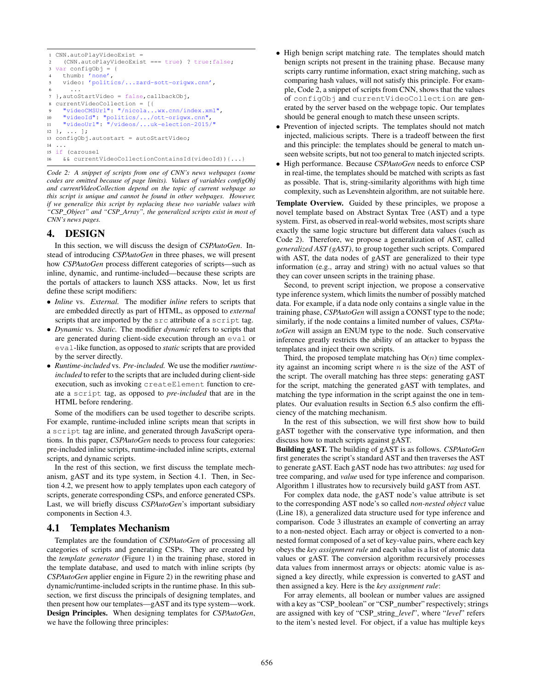```
1 CNN.autoPlayVideoExist =
    2 (CNN.autoPlayVideoExist === true) ? true:false;
3 var configObj = {
    4 thumb: 'none',
     video: 'politics/...zard-sott-origwx.cnn',
 6 \qquad \ldots7 },autoStartVideo = false,callbackObj,
  8 currentVideoCollection = [{
     9 "videoCMSUrl": "/nicola...wx.cnn/index.xml",
10 "videoId": "politics/.../ott-origwx.cnn",
11 "videoUrl": "/videos/...uk-election-2015/"
12 \}, ... ];
13 configObj.autostart = autoStartVideo;
14 ...
15 if (carousel
16 && currentVideoCollectionContainsId(videoId)){...}
```
*Code 2: A snippet of scripts from one of CNN's news webpages (some codes are omitted because of page limits). Values of variables configObj and currentVideoCollection depend on the topic of current webpage so this script is unique and cannot be found in other webpages. However, if we generalize this script by replacing these two variable values with "CSP\_Object" and "CSP\_Array", the generalized scripts exist in most of CNN's news pages.*

# 4. DESIGN

In this section, we will discuss the design of *CSPAutoGen*. Instead of introducing *CSPAutoGen* in three phases, we will present how *CSPAutoGen* process different categories of scripts—such as inline, dynamic, and runtime-included—because these scripts are the portals of attackers to launch XSS attacks. Now, let us first define these script modifiers:

- *Inline* vs. *External.* The modifier *inline* refers to scripts that are embedded directly as part of HTML, as opposed to *external* scripts that are imported by the src attribute of a script tag.
- *Dynamic* vs. *Static.* The modifier *dynamic* refers to scripts that are generated during client-side execution through an eval or eval-like function, as opposed to *static* scripts that are provided by the server directly.
- *Runtime-included* vs. *Pre-included.* We use the modifier*runtimeincluded* to refer to the scripts that are included during client-side execution, such as invoking createElement function to create a script tag, as opposed to *pre-included* that are in the HTML before rendering.

Some of the modifiers can be used together to describe scripts. For example, runtime-included inline scripts mean that scripts in a script tag are inline, and generated through JavaScript operations. In this paper, *CSPAutoGen* needs to process four categories: pre-included inline scripts, runtime-included inline scripts, external scripts, and dynamic scripts.

In the rest of this section, we first discuss the template mechanism, gAST and its type system, in Section 4.1. Then, in Section 4.2, we present how to apply templates upon each category of scripts, generate corresponding CSPs, and enforce generated CSPs. Last, we will briefly discuss *CSPAutoGen*'s important subsidiary components in Section 4.3.

# 4.1 Templates Mechanism

Templates are the foundation of *CSPAutoGen* of processing all categories of scripts and generating CSPs. They are created by the *template generator* (Figure 1) in the training phase, stored in the template database, and used to match with inline scripts (by *CSPAutoGen* applier engine in Figure 2) in the rewriting phase and dynamic/runtime-included scripts in the runtime phase. In this subsection, we first discuss the principals of designing templates, and then present how our templates—gAST and its type system—work. Design Principles. When designing templates for *CSPAutoGen*, we have the following three principles:

- High benign script matching rate. The templates should match benign scripts not present in the training phase. Because many scripts carry runtime information, exact string matching, such as comparing hash values, will not satisfy this principle. For example, Code 2, a snippet of scripts from CNN, shows that the values of configObj and currentVideoCollection are generated by the server based on the webpage topic. Our templates should be general enough to match these unseen scripts.
- Prevention of injected scripts. The templates should not match injected, malicious scripts. There is a tradeoff between the first and this principle: the templates should be general to match unseen website scripts, but not too general to match injected scripts.
- High performance. Because *CSPAutoGen* needs to enforce CSP in real-time, the templates should be matched with scripts as fast as possible. That is, string-similarity algorithms with high time complexity, such as Levenshtein algorithm, are not suitable here.

Template Overview. Guided by these principles, we propose a novel template based on Abstract Syntax Tree (AST) and a type system. First, as observed in real-world websites, most scripts share exactly the same logic structure but different data values (such as Code 2). Therefore, we propose a generalization of AST, called *generalized AST (gAST)*, to group together such scripts. Compared with AST, the data nodes of gAST are generalized to their type information (e.g., array and string) with no actual values so that they can cover unseen scripts in the training phase.

Second, to prevent script injection, we propose a conservative type inference system, which limits the number of possibly matched data. For example, if a data node only contains a single value in the training phase, *CSPAutoGen* will assign a CONST type to the node; similarly, if the node contains a limited number of values, *CSPAutoGen* will assign an ENUM type to the node. Such conservative inference greatly restricts the ability of an attacker to bypass the templates and inject their own scripts.

Third, the proposed template matching has  $O(n)$  time complexity against an incoming script where  $n$  is the size of the AST of the script. The overall matching has three steps: generating gAST for the script, matching the generated gAST with templates, and matching the type information in the script against the one in templates. Our evaluation results in Section 6.5 also confirm the efficiency of the matching mechanism.

In the rest of this subsection, we will first show how to build gAST together with the conservative type information, and then discuss how to match scripts against gAST.

Building gAST. The building of gAST is as follows. *CSPAutoGen* first generates the script's standard AST and then traverses the AST to generate gAST. Each gAST node has two attributes: *tag* used for tree comparing, and *value* used for type inference and comparison. Algorithm 1 illustrates how to recursively build gAST from AST.

For complex data node, the gAST node's value attribute is set to the corresponding AST node's so called *non-nested object* value (Line 18), a generalized data structure used for type inference and comparison. Code 3 illustrates an example of converting an array to a non-nested object. Each array or object is converted to a nonnested format composed of a set of key-value pairs, where each key obeys the *key assignment rule* and each value is a list of atomic data values or gAST. The conversion algorithm recursively processes data values from innermost arrays or objects: atomic value is assigned a key directly, while expression is converted to gAST and then assigned a key. Here is the *key assignment rule*:

For array elements, all boolean or number values are assigned with a key as "CSP\_boolean" or "CSP\_number" respectively; strings are assigned with key of "CSP\_string\_*level*", where "*level*" refers to the item's nested level. For object, if a value has multiple keys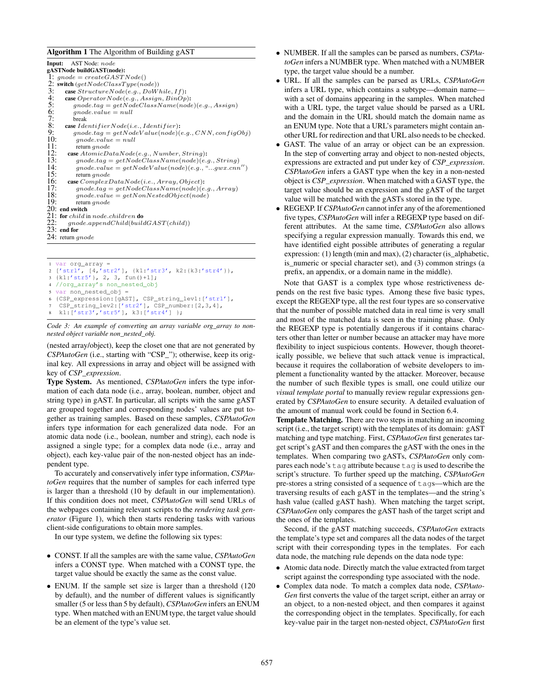#### Algorithm 1 The Algorithm of Building gAST

| Input:<br>AST Node: node                                                                                |
|---------------------------------------------------------------------------------------------------------|
| gASTNode buildGAST(node):                                                                               |
| 1: $qnode = createGASTNode()$                                                                           |
| 2:<br>switch $(qetNodeClassType(node))$                                                                 |
| 3:<br>case $StructureNode(e.g., DoWhile, If)$ :                                                         |
| 4:<br>case $OperatorNode(e.g., Assign,BinOp)$ :                                                         |
| 5:<br>$\mathit{qnode}.tag = getNodeClassName(node)(e.g., Assign)$                                       |
| 6:<br>$qnode.value = null$                                                                              |
| 7:<br>break                                                                                             |
| 8:<br>case $IdentifierNode(i.e., Identifier)$ :                                                         |
| 9:<br>$\mathit{qnode}.tag = getNodeValue(node)(e.g., CNN, configObj)$                                   |
| 10:<br>$qnode.value = null$                                                                             |
| 11:<br>return $qnode$                                                                                   |
| 12:<br><b>case</b> $AtomicDataNode(e.g., Number, String)$ :                                             |
| 13:<br>$\mathit{qnode}.tag = getNodeClassName(node)(e.g., String)$                                      |
| 14:<br>$\mathit{qnode}.\mathit{value} = \mathit{getNodeValue}(\mathit{node})(e.g., \text{``}gwx.cnn'')$ |
| 15:<br>return $qnode$                                                                                   |
| 16:<br>case $ComplexDataNode(i.e., Array, Object);$                                                     |
| 17:<br>$\mathit{qnode}.tag = getNodeClassName(node)(e.g., Array)$                                       |
| 18:<br>$\mathit{qnode}.\mathit{value} = \mathit{getNonNestedObject}(\mathit{node})$                     |
| 19:<br>return <i>gnode</i>                                                                              |
| 20: end switch                                                                                          |
| 21: for child in node.children do                                                                       |
| 22:<br>$\mathit{qnode}.\mathit{appendChild}(buildGAST(child))$                                          |
| $23:$ end for                                                                                           |
| 24: return $\emph{gnode}$                                                                               |
|                                                                                                         |
|                                                                                                         |

```
1 var org_array =
2 ['str1', [4,'str2'], {k1:'str3', k2:{k3:'str4'}},
  3 {k1:'str5'}, 2, 3, fun()+1];
  4 //org_array's non_nested_obj
  var non_nested_obj =
6 {CSP_expression:[gAST], CSP_string_lev1:['str1'],
7 CSP_string_lev2:['str2'], CSP_number:[2,3,4],
   8 k1:['str3','str5'], k3:['str4'] };
```

```
Code 3: An example of converting an array variable org_array to non-
nested object variable non_nested_obj.
```
(nested array/object), keep the closet one that are not generated by *CSPAutoGen* (i.e., starting with "CSP\_"); otherwise, keep its original key. All expressions in array and object will be assigned with key of *CSP\_expression*.

Type System. As mentioned, *CSPAutoGen* infers the type information of each data node (i.e., array, boolean, number, object and string type) in gAST. In particular, all scripts with the same gAST are grouped together and corresponding nodes' values are put together as training samples. Based on these samples, *CSPAutoGen* infers type information for each generalized data node. For an atomic data node (i.e., boolean, number and string), each node is assigned a single type; for a complex data node (i.e., array and object), each key-value pair of the non-nested object has an independent type.

To accurately and conservatively infer type information, *CSPAutoGen* requires that the number of samples for each inferred type is larger than a threshold (10 by default in our implementation). If this condition does not meet, *CSPAutoGen* will send URLs of the webpages containing relevant scripts to the *rendering task generator* (Figure 1), which then starts rendering tasks with various client-side configurations to obtain more samples.

In our type system, we define the following six types:

- CONST. If all the samples are with the same value, *CSPAutoGen* infers a CONST type. When matched with a CONST type, the target value should be exactly the same as the const value.
- ENUM. If the sample set size is larger than a threshold (120) by default), and the number of different values is significantly smaller (5 or less than 5 by default), *CSPAutoGen* infers an ENUM type. When matched with an ENUM type, the target value should be an element of the type's value set.
- NUMBER. If all the samples can be parsed as numbers, *CSPAutoGen* infers a NUMBER type. When matched with a NUMBER type, the target value should be a number.
- URL. If all the samples can be parsed as URLs, *CSPAutoGen* infers a URL type, which contains a subtype—domain name with a set of domains appearing in the samples. When matched with a URL type, the target value should be parsed as a URL and the domain in the URL should match the domain name as an ENUM type. Note that a URL's parameters might contain another URL for redirection and that URL also needs to be checked.
- GAST. The value of an array or object can be an expression. In the step of converting array and object to non-nested objects, expressions are extracted and put under key of *CSP\_expression*. *CSPAutoGen* infers a GAST type when the key in a non-nested object is *CSP\_expression*. When matched with a GAST type, the target value should be an expression and the gAST of the target value will be matched with the gASTs stored in the type.
- REGEXP. If *CSPAutoGen* cannot infer any of the aforementioned five types, *CSPAutoGen* will infer a REGEXP type based on different attributes. At the same time, *CSPAutoGen* also allows specifying a regular expression manually. Towards this end, we have identified eight possible attributes of generating a regular expression: (1) length (min and max), (2) character (is\_alphabetic, is\_numeric or special character set), and (3) common strings (a prefix, an appendix, or a domain name in the middle).

Note that GAST is a complex type whose restrictiveness depends on the rest five basic types. Among these five basic types, except the REGEXP type, all the rest four types are so conservative that the number of possible matched data in real time is very small and most of the matched data is seen in the training phase. Only the REGEXP type is potentially dangerous if it contains characters other than letter or number because an attacker may have more flexibility to inject suspicious contents. However, though theoretically possible, we believe that such attack venue is impractical, because it requires the collaboration of website developers to implement a functionality wanted by the attacker. Moreover, because the number of such flexible types is small, one could utilize our *visual template portal* to manually review regular expressions generated by *CSPAutoGen* to ensure security. A detailed evaluation of the amount of manual work could be found in Section 6.4.

Template Matching. There are two steps in matching an incoming script (i.e., the target script) with the templates of its domain: gAST matching and type matching. First, *CSPAutoGen* first generates target script's gAST and then compares the gAST with the ones in the templates. When comparing two gASTs, *CSPAutoGen* only compares each node's tag attribute because tag is used to describe the script's structure. To further speed up the matching, *CSPAutoGen* pre-stores a string consisted of a sequence of tags—which are the traversing results of each gAST in the templates—and the string's hash value (called gAST hash). When matching the target script, *CSPAutoGen* only compares the gAST hash of the target script and the ones of the templates.

Second, if the gAST matching succeeds, *CSPAutoGen* extracts the template's type set and compares all the data nodes of the target script with their corresponding types in the templates. For each data node, the matching rule depends on the data node type:

- Atomic data node. Directly match the value extracted from target script against the corresponding type associated with the node.
- Complex data node. To match a complex data node, *CSPAuto-Gen* first converts the value of the target script, either an array or an object, to a non-nested object, and then compares it against the corresponding object in the templates. Specifically, for each key-value pair in the target non-nested object, *CSPAutoGen* first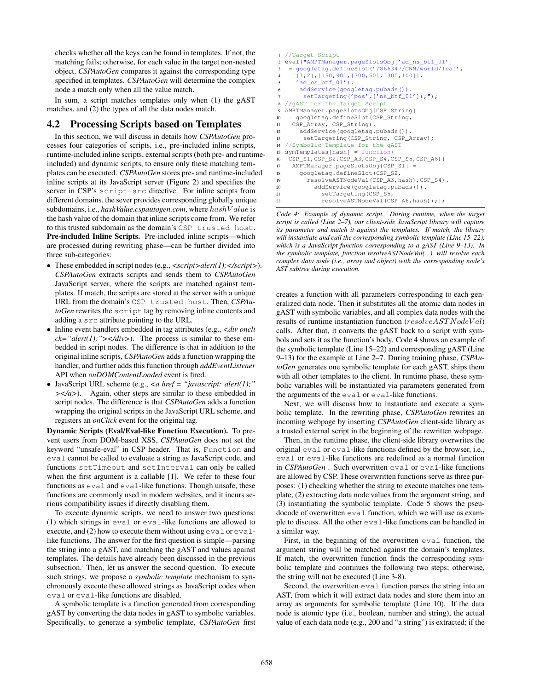checks whether all the keys can be found in templates. If not, the matching fails; otherwise, for each value in the target non-nested object, *CSPAutoGen* compares it against the corresponding type specified in templates. *CSPAutoGen* will determine the complex node a match only when all the value match.

In sum, a script matches templates only when (1) the gAST matches, and (2) the types of all the data nodes match.

## 4.2 Processing Scripts based on Templates

In this section, we will discuss in details how *CSPAutoGen* processes four categories of scripts, i.e., pre-included inline scripts, runtime-included inline scripts, external scripts (both pre- and runtimeincluded) and dynamic scripts, to ensure only these matching templates can be executed. *CSPAutoGen* stores pre- and runtime-included inline scripts at its JavaScript server (Figure 2) and specifies the server in CSP's script-src directive. For inline scripts from different domains, the sever provides corresponding globally unique subdomains, i.e., *hashValue.cspautogen.com*, where hashV alue is the hash value of the domain that inline scripts come from. We refer to this trusted subdomain as the domain's CSP trusted host. Pre-included Inline Scripts. Pre-included inline scripts—which are processed during rewriting phase—can be further divided into three sub-categories:

- These embedded in script nodes (e.g., *<script>alert(1);</script>*). *CSPAutoGen* extracts scripts and sends them to *CSPAutoGen* JavaScript server, where the scripts are matched against templates. If match, the scripts are stored at the server with a unique URL from the domain's CSP trusted host. Then, *CSPAutoGen* rewrites the script tag by removing inline contents and adding a src attribute pointing to the URL.
- Inline event handlers embedded in tag attributes (e.g., *<div oncli*  $ck="der(t);$ "></div>). The process is similar to these embedded in script nodes. The difference is that in addition to the original inline scripts, *CSPAutoGen* adds a function wrapping the handler, and further adds this function through *addEventListener* API when *onDOMContentLoaded* event is fired.
- JavaScript URL scheme (e.g., *<a href = "javascript: alert(1);" ></a>*). Again, other steps are similar to these embedded in script nodes. The difference is that *CSPAutoGen* adds a function wrapping the original scripts in the JavaScript URL scheme, and registers an *onClick* event for the original tag.

Dynamic Scripts (Eval/Eval-like Function Execution). To prevent users from DOM-based XSS, *CSPAutoGen* does not set the keyword "unsafe-eval" in CSP header. That is, Function and eval cannot be called to evaluate a string as JavaScript code, and functions setTimeout and setInterval can only be called when the first argument is a callable [1]. We refer to these four functions as eval and eval-like functions. Though unsafe, these functions are commonly used in modern websites, and it incurs serious compatibility issues if directly disabling them.

To execute dynamic scripts, we need to answer two questions: (1) which strings in eval or eval-like functions are allowed to execute, and (2) how to execute them without using eval or evallike functions. The answer for the first question is simple—parsing the string into a gAST, and matching the gAST and values against templates. The details have already been discussed in the previous subsection. Then, let us answer the second question. To execute such strings, we propose a *symbolic template* mechanism to synchronously execute these allowed strings as JavaScript codes when eval or eval-like functions are disabled.

A symbolic template is a function generated from corresponding gAST by converting the data nodes in gAST to symbolic variables. Specifically, to generate a symbolic template, *CSPAutoGen* first

|             | 1 //Target Script                                                   |
|-------------|---------------------------------------------------------------------|
|             | 2 eval("AMPTManager.pageSlotsObj['ad_ns_btf_01']                    |
| $3^{\circ}$ | = qooqletaq.defineSlot('/866347/CNN/world/leaf',                    |
|             | $[1, 2]$ , $[150, 90]$ , $[300, 50]$ , $[300, 100]$ ],<br>$4 \quad$ |
| 5           | $'$ ad ns btf $01'$ ).                                              |
| 6           | addService(qoogletag.pubads()).                                     |
| $\tau$      | $setTargeting('pos', ['ns_btf_01']); ");$                           |
| 8           | //gAST for the Target Script                                        |
| 9           | AMPTManager.pageSlotsObj[CSP_String]                                |
| 10          | = qooqletaq.defineSlot(CSP_Strinq,                                  |
| 11          | CSP_Array, CSP_String).                                             |
| 12          | addService(qoogletag.pubads()).                                     |
| 13          | setTargeting(CSP_String, CSP_Array);                                |
| 14          | //Symbolic Template for the qAST                                    |
| 15          | $symTemplates[hash] = function($                                    |
| 16          | CSP_S1, CSP_S2, CSP_A3, CSP_S4, CSP_S5, CSP_A6) {                   |
| 17          | AMPTManager.pageSlotsObj[CSP_S1] =                                  |
| 18          | googletag.defineSlot(CSP_S2,                                        |
| 19          | resolveASTNodeVal(CSP_A3,hash),CSP_S4).                             |
| 20          | addService(qoogletag.pubads()).                                     |
| 21          | setTargeting(CSP_S5,                                                |
| 22.         | resolveASTNodeVal(CSP A6.hash)):}:                                  |

*Code 4: Example of dynamic script. During runtime, when the target script is called (Line 2–7), our client-side JavaScript library will capture its parameter and match it against the templates. If match, the library will instantiate and call the corresponding symbolic template (Line 15–22), which is a JavaScript function corresponding to a gAST (Line 9–13). In the symbolic template, function resolveASTNodeVal(...) will resolve each complex data node (i.e., array and object) with the corresponding node's AST subtree during execution.*

creates a function with all parameters corresponding to each generalized data node. Then it substitutes all the atomic data nodes in gAST with symbolic variables, and all complex data nodes with the results of runtime instantiation function (resolveAST NodeVal) calls. After that, it converts the gAST back to a script with symbols and sets it as the function's body. Code 4 shows an example of the symbolic template (Line 15–22) and corresponding gAST (Line 9–13) for the example at Line 2–7. During training phase, *CSPAutoGen* generates one symbolic template for each gAST, ships them with all other templates to the client. In runtime phase, these symbolic variables will be instantiated via parameters generated from the arguments of the eval or eval-like functions.

Next, we will discuss how to instantiate and execute a symbolic template. In the rewriting phase, *CSPAutoGen* rewrites an incoming webpage by inserting *CSPAutoGen* client-side library as a trusted external script in the beginning of the rewritten webpage.

Then, in the runtime phase, the client-side library overwrites the original eval or eval-like functions defined by the browser, i.e., eval or eval-like functions are redefined as a normal function in *CSPAutoGen*. Such overwritten eval or eval-like functions are allowed by CSP. These overwritten functions serve as three purposes: (1) checking whether the string to execute matches one template, (2) extracting data node values from the argument string, and (3) instantiating the symbolic template. Code 5 shows the pseudocode of overwritten eval function, which we will use as example to discuss. All the other eval-like functions can be handled in a similar way.

First, in the beginning of the overwritten eval function, the argument string will be matched against the domain's templates. If match, the overwritten function finds the corresponding symbolic template and continues the following two steps; otherwise, the string will not be executed (Line 3-8).

Second, the overwritten eval function parses the string into an AST, from which it will extract data nodes and store them into an array as arguments for symbolic template (Line 10). If the data node is atomic type (i.e., boolean, number and string), the actual value of each data node (e.g., 200 and "a string") is extracted; if the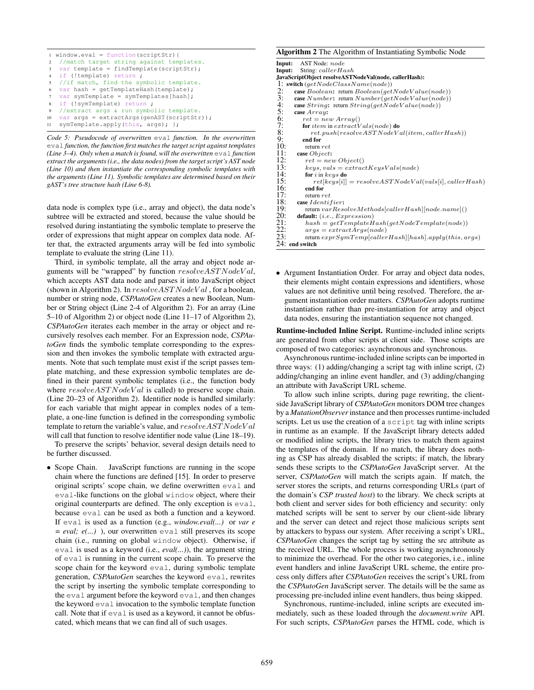$window.event = function(scriptStr)$ { //match target string against templates. var template = findTemplate(scriptStr); if (!template) return ; //if match, find the symbolic template. var hash = getTemplateHash(template); 7 var symTemplate = symTemplates[hash]; if (!symTemplate) return ; //extract args & run symbolic template. 10 var args = extractArgs(genAST(scriptStr)); 11 symTemplate.apply(this, args); };

*Code 5: Pseudocode of overwritten* eval *function. In the overwritten* eval *function, the function first matches the target script against templates (Line 3–4). Only when a match is found, will the overwritten* eval *function extract the arguments (i.e., the data nodes) from the target script's AST node (Line 10) and then instantiate the corresponding symbolic templates with the arguments (Line 11). Symbolic templates are determined based on their gAST's tree structure hash (Line 6-8).*

data node is complex type (i.e., array and object), the data node's subtree will be extracted and stored, because the value should be resolved during instantiating the symbolic template to preserve the order of expressions that might appear on complex data node. After that, the extracted arguments array will be fed into symbolic template to evaluate the string (Line 11).

Third, in symbolic template, all the array and object node arguments will be "wrapped" by function  $resolveASTNodeVal$ , which accepts AST data node and parses it into JavaScript object (shown in Algorithm 2). In  $resolveASTNodeVal$ , for a boolean, number or string node, *CSPAutoGen* creates a new Boolean, Number or String object (Line 2-4 of Algorithm 2). For an array (Line 5–10 of Algorithm 2) or object node (Line 11–17 of Algorithm 2), *CSPAutoGen* iterates each member in the array or object and recursively resolves each member. For an Expression node, *CSPAutoGen* finds the symbolic template corresponding to the expression and then invokes the symbolic template with extracted arguments. Note that such template must exist if the script passes template matching, and these expression symbolic templates are defined in their parent symbolic templates (i.e., the function body where  $resolveASTNodeVal$  is called) to preserve scope chain. (Line 20–23 of Algorithm 2). Identifier node is handled similarly: for each variable that might appear in complex nodes of a template, a one-line function is defined in the corresponding symbolic template to return the variable's value, and  $resolveASTNodeVal$ will call that function to resolve identifier node value (Line 18–19).

To preserve the scripts' behavior, several design details need to be further discussed.

• Scope Chain. JavaScript functions are running in the scope chain where the functions are defined [15]. In order to preserve original scripts' scope chain, we define overwritten eval and eval-like functions on the global window object, where their original counterparts are defined. The only exception is eval, because eval can be used as both a function and a keyword. If eval is used as a function (e.g., *window.eval(...)* or *var e = eval; e(...)* ), our overwritten eval still preserves its scope chain (i.e., running on global window object). Otherwise, if eval is used as a keyword (i.e., *eval(...)*), the argument string of eval is running in the current scope chain. To preserve the scope chain for the keyword eval, during symbolic template generation, *CSPAutoGen* searches the keyword eval, rewrites the script by inserting the symbolic template corresponding to the eval argument before the keyword eval, and then changes the keyword eval invocation to the symbolic template function call. Note that if eval is used as a keyword, it cannot be obfuscated, which means that we can find all of such usages.

#### Algorithm 2 The Algorithm of Instantiating Symbolic Node

```
Input: AST Node: node<br>Input: String: caller H<sub>c</sub>
           String: callerHash
JavaScriptObject resolveASTNodeVal(node, callerHash):
1: switch (getNodeClassName(node))<br>2: case Boolean: return Boolean(aet
2: case Boolean: return Boolean(getNodeValue(node))<br>3: case Number: return Number(aetNodeValue(node))
3: case Number: return Number(getNodeValue(node))<br>4: case String: return String(getNodeValue(node))
4: case String: return String(getNodeValue(node))<br>5: case Array:
5: case Array:<br>6: ret = ne6: ret = new Array()<br>7: for item in extractV
7: for item in extract V als (node) do<br>8: ret.push(resolveASTNodeV<br>9. end for
                 ret.push(resolveASTNodeVal(item, callerHash))9: end for<br>10: return
10: return ret<br>11: case Object11: case Object:<br>12: ret = net12: ret = new Object()<br>13: keys, vals = extrac13: keys, vals = extractKeysVals(node)<br>14: for i in keys do
14: for i in keys do<br>15: ret[keys[i]]15: ret[keys[i]] = resolveASTNodeVal(vals[i], callerHash)<br>16: end for
16: end for<br>17: return r
17: return ret<br>18: case Identi18: case I dentifier:<br>19: return varRes<br>20: default: (i.e., Ex)
              19: return varResolveMethods[callerHash][node.name]()
20: default: (i.e., Expression)<br>
21: hash = getTemplateH<br>
22: args = extractArgs(n.<br>
23: return exprSymTemplcc
              hash = getTemplateHash(getNodeTemplate(node))args = extractArgs(node)return exprSymTemp[callerHash][hash].apply(this, args)24: end switch
```
• Argument Instantiation Order. For array and object data nodes, their elements might contain expressions and identifiers, whose values are not definitive until being resolved. Therefore, the argument instantiation order matters. *CSPAutoGen* adopts runtime instantiation rather than pre-instantiation for array and object data nodes, ensuring the instantiation sequence not changed.

Runtime-included Inline Script. Runtime-included inline scripts are generated from other scripts at client side. Those scripts are composed of two categories: asynchronous and synchronous.

Asynchronous runtime-included inline scripts can be imported in three ways: (1) adding/changing a script tag with inline script, (2) adding/changing an inline event handler, and (3) adding/changing an attribute with JavaScript URL scheme.

To allow such inline scripts, during page rewriting, the clientside JavaScript library of *CSPAutoGen* monitors DOM tree changes by a *MutationObserver*instance and then processes runtime-included scripts. Let us use the creation of a script tag with inline scripts in runtime as an example. If the JavaScript library detects added or modified inline scripts, the library tries to match them against the templates of the domain. If no match, the library does nothing as CSP has already disabled the scripts; if match, the library sends these scripts to the *CSPAutoGen* JavaScript server. At the server, *CSPAutoGen* will match the scripts again. If match, the server stores the scripts, and returns corresponding URLs (part of the domain's *CSP trusted host*) to the library. We check scripts at both client and server sides for both efficiency and security: only matched scripts will be sent to server by our client-side library and the server can detect and reject those malicious scripts sent by attackers to bypass our system. After receiving a script's URL, *CSPAutoGen* changes the script tag by setting the src attribute as the received URL. The whole process is working asynchronously to minimize the overhead. For the other two categories, i.e., inline event handlers and inline JavaScript URL scheme, the entire process only differs after *CSPAutoGen* receives the script's URL from the *CSPAutoGen* JavaScript server. The details will be the same as processing pre-included inline event handlers, thus being skipped.

Synchronous, runtime-included, inline scripts are executed immediately, such as these loaded through the *document.write* API. For such scripts, *CSPAutoGen* parses the HTML code, which is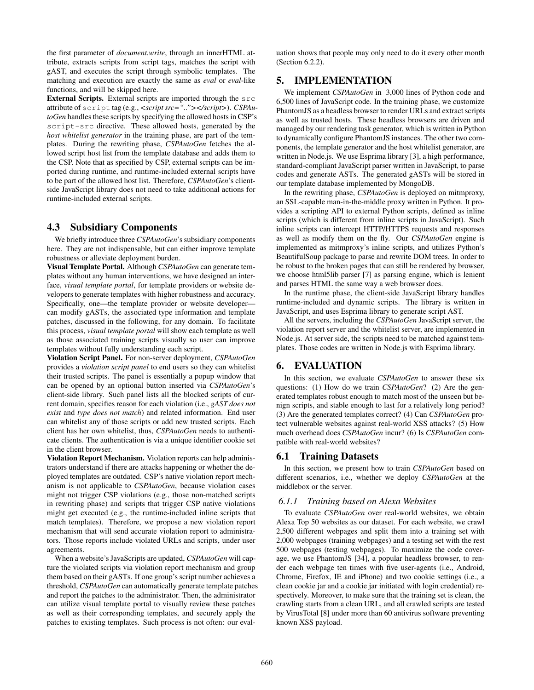the first parameter of *document.write*, through an innerHTML attribute, extracts scripts from script tags, matches the script with gAST, and executes the script through symbolic templates. The matching and execution are exactly the same as *eval* or *eval*-like functions, and will be skipped here.

External Scripts. External scripts are imported through the src attribute of script tag (e.g., *<script src=".."></script>*). *CSPAutoGen* handles these scripts by specifying the allowed hosts in CSP's script-src directive. These allowed hosts, generated by the *host whitelist generator* in the training phase, are part of the templates. During the rewriting phase, *CSPAutoGen* fetches the allowed script host list from the template database and adds them to the CSP. Note that as specified by CSP, external scripts can be imported during runtime, and runtime-included external scripts have to be part of the allowed host list. Therefore, *CSPAutoGen*'s clientside JavaScript library does not need to take additional actions for runtime-included external scripts.

## 4.3 Subsidiary Components

We briefly introduce three *CSPAutoGen*'s subsidiary components here. They are not indispensable, but can either improve template robustness or alleviate deployment burden.

Visual Template Portal. Although *CSPAutoGen* can generate templates without any human interventions, we have designed an interface, *visual template portal*, for template providers or website developers to generate templates with higher robustness and accuracy. Specifically, one—the template provider or website developer can modify gASTs, the associated type information and template patches, discussed in the following, for any domain. To facilitate this process, *visual template portal* will show each template as well as those associated training scripts visually so user can improve templates without fully understanding each script.

Violation Script Panel. For non-server deployment, *CSPAutoGen* provides a *violation script panel* to end users so they can whitelist their trusted scripts. The panel is essentially a popup window that can be opened by an optional button inserted via *CSPAutoGen*'s client-side library. Such panel lists all the blocked scripts of current domain, specifies reason for each violation (i.e., *gAST does not exist* and *type does not match*) and related information. End user can whitelist any of those scripts or add new trusted scripts. Each client has her own whitelist, thus, *CSPAutoGen* needs to authenticate clients. The authentication is via a unique identifier cookie set in the client browser.

Violation Report Mechanism. Violation reports can help administrators understand if there are attacks happening or whether the deployed templates are outdated. CSP's native violation report mechanism is not applicable to *CSPAutoGen*, because violation cases might not trigger CSP violations (e.g., those non-matched scripts in rewriting phase) and scripts that trigger CSP native violations might get executed (e.g., the runtime-included inline scripts that match templates). Therefore, we propose a new violation report mechanism that will send accurate violation report to administrators. Those reports include violated URLs and scripts, under user agreements.

When a website's JavaScripts are updated, *CSPAutoGen* will capture the violated scripts via violation report mechanism and group them based on their gASTs. If one group's script number achieves a threshold, *CSPAutoGen* can automatically generate template patches and report the patches to the administrator. Then, the administrator can utilize visual template portal to visually review these patches as well as their corresponding templates, and securely apply the patches to existing templates. Such process is not often: our evaluation shows that people may only need to do it every other month (Section 6.2.2).

## 5. IMPLEMENTATION

We implement *CSPAutoGen* in 3,000 lines of Python code and 6,500 lines of JavaScript code. In the training phase, we customize PhantomJS as a headless browser to render URLs and extract scripts as well as trusted hosts. These headless browsers are driven and managed by our rendering task generator, which is written in Python to dynamically configure PhantomJS instances. The other two components, the template generator and the host whitelist generator, are written in Node.js. We use Esprima library [3], a high performance, standard-compliant JavaScript parser written in JavaScript, to parse codes and generate ASTs. The generated gASTs will be stored in our template database implemented by MongoDB.

In the rewriting phase, *CSPAutoGen* is deployed on mitmproxy, an SSL-capable man-in-the-middle proxy written in Python. It provides a scripting API to external Python scripts, defined as inline scripts (which is different from inline scripts in JavaScript). Such inline scripts can intercept HTTP/HTTPS requests and responses as well as modify them on the fly. Our *CSPAutoGen* engine is implemented as mitmproxy's inline scripts, and utilizes Python's BeautifulSoup package to parse and rewrite DOM trees. In order to be robust to the broken pages that can still be rendered by browser, we choose html5lib parser [7] as parsing engine, which is lenient and parses HTML the same way a web browser does.

In the runtime phase, the client-side JavaScript library handles runtime-included and dynamic scripts. The library is written in JavaScript, and uses Esprima library to generate script AST.

All the servers, including the *CSPAutoGen* JavaScript server, the violation report server and the whitelist server, are implemented in Node.js. At server side, the scripts need to be matched against templates. Those codes are written in Node.js with Esprima library.

# 6. EVALUATION

In this section, we evaluate *CSPAutoGen* to answer these six questions: (1) How do we train *CSPAutoGen*? (2) Are the generated templates robust enough to match most of the unseen but benign scripts, and stable enough to last for a relatively long period? (3) Are the generated templates correct? (4) Can *CSPAutoGen* protect vulnerable websites against real-world XSS attacks? (5) How much overhead does *CSPAutoGen* incur? (6) Is *CSPAutoGen* compatible with real-world websites?

# 6.1 Training Datasets

In this section, we present how to train *CSPAutoGen* based on different scenarios, i.e., whether we deploy *CSPAutoGen* at the middlebox or the server.

### *6.1.1 Training based on Alexa Websites*

To evaluate *CSPAutoGen* over real-world websites, we obtain Alexa Top 50 websites as our dataset. For each website, we crawl 2,500 different webpages and split them into a training set with 2,000 webpages (training webpages) and a testing set with the rest 500 webpages (testing webpages). To maximize the code coverage, we use PhantomJS [34], a popular headless browser, to render each webpage ten times with five user-agents (i.e., Android, Chrome, Firefox, IE and iPhone) and two cookie settings (i.e., a clean cookie jar and a cookie jar initiated with login credential) respectively. Moreover, to make sure that the training set is clean, the crawling starts from a clean URL, and all crawled scripts are tested by VirusTotal [8] under more than 60 antivirus software preventing known XSS payload.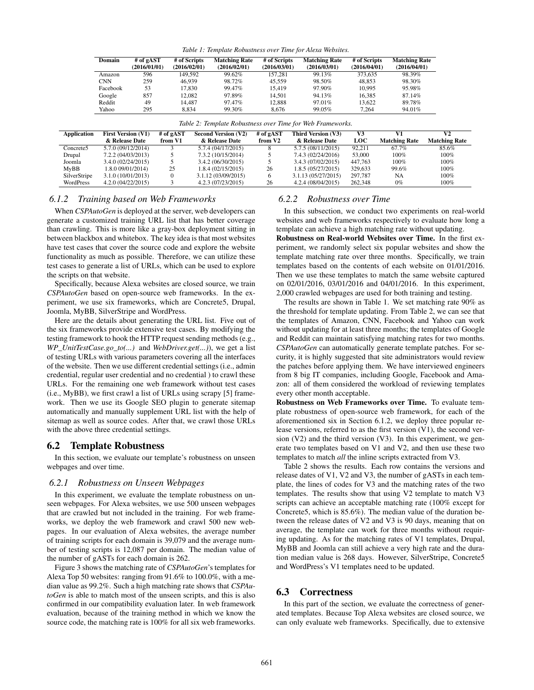| Table 1: Template Robustness over Time for Alexa Websites. |  |  |  |  |
|------------------------------------------------------------|--|--|--|--|
|------------------------------------------------------------|--|--|--|--|

| Domain     | # of gAST<br>(2016/01/01) | # of Scripts<br>(2016/02/01) | <b>Matching Rate</b><br>(2016/02/01) | # of Scripts<br>(2016/03/01) | <b>Matching Rate</b><br>(2016/03/01) | # of Scripts<br>(2016/04/01) | <b>Matching Rate</b><br>(2016/04/01) |
|------------|---------------------------|------------------------------|--------------------------------------|------------------------------|--------------------------------------|------------------------------|--------------------------------------|
| Amazon     | 596                       | 149.592                      | 99.62%                               | 157.281                      | 99.13%                               | 373.635                      | 98.39%                               |
| <b>CNN</b> | 259                       | 46.939                       | 98.72%                               | 45.559                       | 98.50%                               | 48.853                       | 98.30%                               |
| Facebook   | 53                        | 17.830                       | 99.47%                               | 15.419                       | 97.90%                               | 10.995                       | 95.98%                               |
| Google     | 857                       | 12.082                       | 97.89%                               | 14.501                       | 94.13%                               | 16.385                       | 87.14%                               |
| Reddit     | 49                        | 14.487                       | 97.47%                               | 12.888                       | 97.01%                               | 13.622                       | 89.78%                               |
| Yahoo      | 295                       | 8.834                        | 99.30%                               | 8.676                        | 99.05%                               | 7.264                        | 94.01%                               |

|  | Table 2: Template Robustness over Time for Web Frameworks. |
|--|------------------------------------------------------------|
|  |                                                            |

| <b>Application</b> | <b>First Version (V1)</b><br>& Release Date | # of gAST<br>from V1 | <b>Second Version (V2)</b><br>& Release Date | # of gAST<br>from V <sub>2</sub> | Third Version (V3)<br>& Release Date | V3<br><b>LOC</b> | V1<br><b>Matching Rate</b> | V2<br><b>Matching Rate</b> |
|--------------------|---------------------------------------------|----------------------|----------------------------------------------|----------------------------------|--------------------------------------|------------------|----------------------------|----------------------------|
| Concrete5          | 5.7.0 (09/12/2014)                          |                      | 5.7.4 (04/17/2015)                           | 8                                | 5.7.5 (08/11/2015)                   | 92.211           | 67.7%                      | 85.6%                      |
| Drupal             | 7.2.2 (04/03/2013)                          |                      | 7.3.2 (10/15/2014)                           |                                  | 7.4.3 (02/24/2016)                   | 53,000           | $100\%$                    | $100\%$                    |
| Joomla             | 3.4.0(02/24/2015)                           |                      | 3.4.2 (06/30/2015)                           |                                  | 3.4.3 (07/02/2015)                   | 447.763          | $100\%$                    | $100\%$                    |
| MyBB               | 1.8.0 09/01/2014)                           | 25                   | 1.8.4(02/15/2015)                            | 26                               | 1.8.5(05/27/2015)                    | 329.633          | 99.6%                      | $100\%$                    |
| SilverStripe       | 3.1.0 (10/01/2013)                          |                      | 3.1.12 (03/09/2015)                          | 6                                | 3.1.13 (05/27/2015)                  | 297.787          | NA                         | 100%                       |
| WordPress          | 4.2.0(04/22/2015)                           |                      | 4.2.3 (07/23/2015)                           | 26                               | 4.2.4 (08/04/2015)                   | 262,348          | $0\%$                      | 100%                       |

#### *6.1.2 Training based on Web Frameworks*

When *CSPAutoGen* is deployed at the server, web developers can generate a customized training URL list that has better coverage than crawling. This is more like a gray-box deployment sitting in between blackbox and whitebox. The key idea is that most websites have test cases that cover the source code and explore the website functionality as much as possible. Therefore, we can utilize these test cases to generate a list of URLs, which can be used to explore the scripts on that website.

Specifically, because Alexa websites are closed source, we train *CSPAutoGen* based on open-source web frameworks. In the experiment, we use six frameworks, which are Concrete5, Drupal, Joomla, MyBB, SilverStripe and WordPress.

Here are the details about generating the URL list. Five out of the six frameworks provide extensive test cases. By modifying the testing framework to hook the HTTP request sending methods (e.g., *WP\_UnitTestCase.go\_to(...)* and *WebDriver.get(...)*), we get a list of testing URLs with various parameters covering all the interfaces of the website. Then we use different credential settings (i.e., admin credential, regular user credential and no credential ) to crawl these URLs. For the remaining one web framework without test cases (i.e., MyBB), we first crawl a list of URLs using scrapy [5] framework. Then we use its Google SEO plugin to generate sitemap automatically and manually supplement URL list with the help of sitemap as well as source codes. After that, we crawl those URLs with the above three credential settings.

#### 6.2 Template Robustness

In this section, we evaluate our template's robustness on unseen webpages and over time.

#### *6.2.1 Robustness on Unseen Webpages*

In this experiment, we evaluate the template robustness on unseen webpages. For Alexa websites, we use 500 unseen webpages that are crawled but not included in the training. For web frameworks, we deploy the web framework and crawl 500 new webpages. In our evaluation of Alexa websites, the average number of training scripts for each domain is 39,079 and the average number of testing scripts is 12,087 per domain. The median value of the number of gASTs for each domain is 262.

Figure 3 shows the matching rate of *CSPAutoGen*'s templates for Alexa Top 50 websites: ranging from 91.6% to 100.0%, with a median value as 99.2%. Such a high matching rate shows that *CSPAutoGen* is able to match most of the unseen scripts, and this is also confirmed in our compatibility evaluation later. In web framework evaluation, because of the training method in which we know the source code, the matching rate is 100% for all six web frameworks.

#### *6.2.2 Robustness over Time*

In this subsection, we conduct two experiments on real-world websites and web frameworks respectively to evaluate how long a template can achieve a high matching rate without updating.

Robustness on Real-world Websites over Time. In the first experiment, we randomly select six popular websites and show the template matching rate over three months. Specifically, we train templates based on the contents of each website on 01/01/2016. Then we use these templates to match the same website captured on 02/01/2016, 03/01/2016 and 04/01/2016. In this experiment, 2,000 crawled webpages are used for both training and testing.

The results are shown in Table 1. We set matching rate 90% as the threshold for template updating. From Table 2, we can see that the templates of Amazon, CNN, Facebook and Yahoo can work without updating for at least three months; the templates of Google and Reddit can maintain satisfying matching rates for two months. *CSPAutoGen* can automatically generate template patches. For security, it is highly suggested that site administrators would review the patches before applying them. We have interviewed engineers from 8 big IT companies, including Google, Facebook and Amazon: all of them considered the workload of reviewing templates every other month acceptable.

Robustness on Web Frameworks over Time. To evaluate template robustness of open-source web framework, for each of the aforementioned six in Section 6.1.2, we deploy three popular release versions, referred to as the first version (V1), the second version  $(V2)$  and the third version  $(V3)$ . In this experiment, we generate two templates based on V1 and V2, and then use these two templates to match *all* the inline scripts extracted from V3.

Table 2 shows the results. Each row contains the versions and release dates of V1, V2 and V3, the number of gASTs in each template, the lines of codes for V3 and the matching rates of the two templates. The results show that using V2 template to match V3 scripts can achieve an acceptable matching rate (100% except for Concrete5, which is 85.6%). The median value of the duration between the release dates of V2 and V3 is 90 days, meaning that on average, the template can work for three months without requiring updating. As for the matching rates of V1 templates, Drupal, MyBB and Joomla can still achieve a very high rate and the duration median value is 268 days. However, SilverStripe, Concrete5 and WordPress's V1 templates need to be updated.

#### 6.3 Correctness

In this part of the section, we evaluate the correctness of generated templates. Because Top Alexa websites are closed source, we can only evaluate web frameworks. Specifically, due to extensive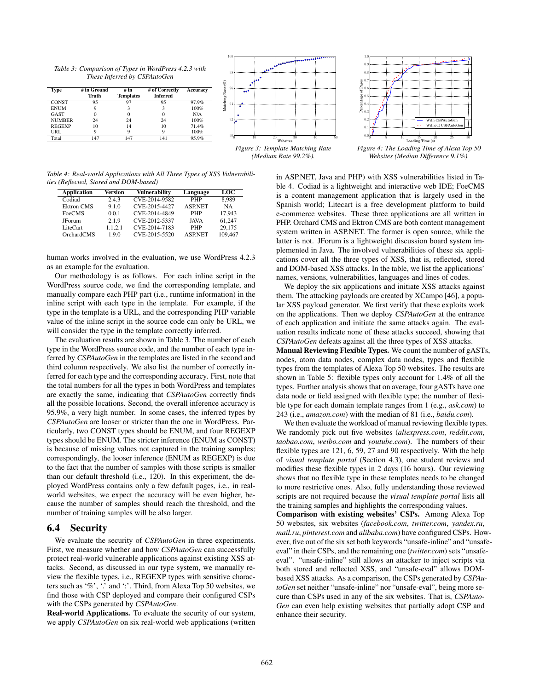*Table 3: Comparison of Types in WordPress 4.2.3 with These Inferred by CSPAutoGen*

| Type          | # in Ground | # in             | # of Correctly  | Accuracy | L<br>a<br>oo <sup>o</sup><br>≃ |
|---------------|-------------|------------------|-----------------|----------|--------------------------------|
|               | Truth       | <b>Templates</b> | <b>Inferred</b> |          |                                |
| CONST         | 95          | ᠬ                | 95              | 97.9%    | ಕ<br>25                        |
| <b>ENUM</b>   |             |                  |                 | 100%     | ٤                              |
| GAST          |             |                  |                 | N/A      |                                |
| <b>NUMBER</b> | 24          | 24               | 24              | 100%     |                                |
| <b>REGEXP</b> | 10          |                  | 10              | 71.4%    |                                |
| URL           |             |                  |                 | 100%     |                                |
| Total         | 147         | 14 <sup>7</sup>  | $\overline{4}$  | 95.9%    | 40<br>Wahaitaa                 |



*Figure 3: Template Matching Rate (Medium Rate 99.2%).*

*Table 4: Real-world Applications with All Three Types of XSS Vulnerabilities (Reflected, Stored and DOM-based)*

| <b>Application</b> | Version | Vulnerability | Language       | LOC     |
|--------------------|---------|---------------|----------------|---------|
| Codiad             | 2.4.3   | CVE-2014-9582 | <b>PHP</b>     | 8.989   |
| <b>Ektron CMS</b>  | 9.1.0   | CVE-2015-4427 | <b>ASP.NET</b> | NA      |
| FoeCMS             | 0.0.1   | CVE-2014-4849 | <b>PHP</b>     | 17.943  |
| <b>JForum</b>      | 2.1.9   | CVE-2012-5337 | <b>JAVA</b>    | 61.247  |
| LiteCart           | 1121    | CVE-2014-7183 | <b>PHP</b>     | 29.175  |
| OrchardCMS         | 1.9.0   | CVE-2015-5520 | <b>ASP.NET</b> | 109,467 |

human works involved in the evaluation, we use WordPress 4.2.3 as an example for the evaluation.

Our methodology is as follows. For each inline script in the WordPress source code, we find the corresponding template, and manually compare each PHP part (i.e., runtime information) in the inline script with each type in the template. For example, if the type in the template is a URL, and the corresponding PHP variable value of the inline script in the source code can only be URL, we will consider the type in the template correctly inferred.

The evaluation results are shown in Table 3. The number of each type in the WordPress source code, and the number of each type inferred by *CSPAutoGen* in the templates are listed in the second and third column respectively. We also list the number of correctly inferred for each type and the corresponding accuracy. First, note that the total numbers for all the types in both WordPress and templates are exactly the same, indicating that *CSPAutoGen* correctly finds all the possible locations. Second, the overall inference accuracy is 95.9%, a very high number. In some cases, the inferred types by *CSPAutoGen* are looser or stricter than the one in WordPress. Particularly, two CONST types should be ENUM, and four REGEXP types should be ENUM. The stricter inference (ENUM as CONST) is because of missing values not captured in the training samples; correspondingly, the looser inference (ENUM as REGEXP) is due to the fact that the number of samples with those scripts is smaller than our default threshold (i.e., 120). In this experiment, the deployed WordPress contains only a few default pages, i.e., in realworld websites, we expect the accuracy will be even higher, because the number of samples should reach the threshold, and the number of training samples will be also larger.

#### 6.4 Security

We evaluate the security of *CSPAutoGen* in three experiments. First, we measure whether and how *CSPAutoGen* can successfully protect real-world vulnerable applications against existing XSS attacks. Second, as discussed in our type system, we manually review the flexible types, i.e., REGEXP types with sensitive characters such as '%', '.' and ':'. Third, from Alexa Top 50 websites, we find those with CSP deployed and compare their configured CSPs with the CSPs generated by *CSPAutoGen*.

Real-world Applications. To evaluate the security of our system, we apply *CSPAutoGen* on six real-world web applications (written



*Figure 4: The Loading Time of Alexa Top 50 Websites (Median Difference 9.1%).*

in ASP.NET, Java and PHP) with XSS vulnerabilities listed in Table 4. Codiad is a lightweight and interactive web IDE; FoeCMS is a content management application that is largely used in the Spanish world; Litecart is a free development platform to build e-commerce websites. These three applications are all written in PHP. Orchard CMS and Ektron CMS are both content management system written in ASP.NET. The former is open source, while the latter is not. JForum is a lightweight discussion board system implemented in Java. The involved vulnerabilities of these six applications cover all the three types of XSS, that is, reflected, stored and DOM-based XSS attacks. In the table, we list the applications' names, versions, vulnerabilities, languages and lines of codes.

We deploy the six applications and initiate XSS attacks against them. The attacking payloads are created by XCampo [46], a popular XSS payload generator. We first verify that these exploits work on the applications. Then we deploy *CSPAutoGen* at the entrance of each application and initiate the same attacks again. The evaluation results indicate none of these attacks succeed, showing that *CSPAutoGen* defeats against all the three types of XSS attacks.

Manual Reviewing Flexible Types. We count the number of gASTs, nodes, atom data nodes, complex data nodes, types and flexible types from the templates of Alexa Top 50 websites. The results are shown in Table 5: flexible types only account for 1.4% of all the types. Further analysis shows that on average, four gASTs have one data node or field assigned with flexible type; the number of flexible type for each domain template ranges from 1 (e.g., *ask.com*) to 243 (i.e., *amazon.com*) with the median of 81 (i.e., *baidu.com*).

We then evaluate the workload of manual reviewing flexible types. We randomly pick out five websites (*aliexpress.com*, *reddit.com*, *taobao.com*, *weibo.com* and *youtube.com*). The numbers of their flexible types are 121, 6, 59, 27 and 90 respectively. With the help of *visual template portal* (Section 4.3), one student reviews and modifies these flexible types in 2 days (16 hours). Our reviewing shows that no flexible type in these templates needs to be changed to more restrictive ones. Also, fully understanding those reviewed scripts are not required because the *visual template portal* lists all the training samples and highlights the corresponding values.

Comparison with existing websites' CSPs. Among Alexa Top 50 websites, six websites (*facebook.com*, *twitter.com*, *yandex.ru*, *mail.ru*, *pinterest.com* and *alibaba.com*) have configured CSPs. However, five out of the six set both keywords "unsafe-inline" and "unsafeeval" in their CSPs, and the remaining one (*twitter.com*) sets "unsafeeval". "unsafe-inline" still allows an attacker to inject scripts via both stored and reflected XSS, and "unsafe-eval" allows DOMbased XSS attacks. As a comparison, the CSPs generated by *CSPAutoGen* set neither "unsafe-inline" nor "unsafe-eval", being more secure than CSPs used in any of the six websites. That is, *CSPAuto-Gen* can even help existing websites that partially adopt CSP and enhance their security.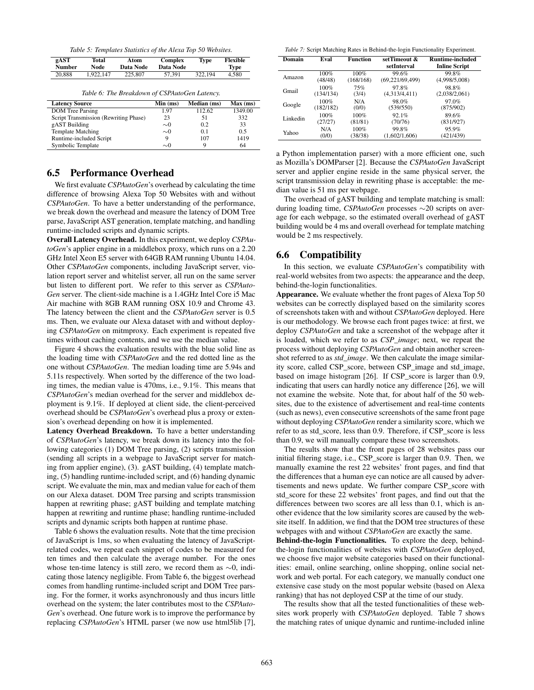*Table 5: Templates Statistics of the Alexa Top 50 Websites.*

| gAST          | Total     | Atom      | Complex   | Type    | Flexible |
|---------------|-----------|-----------|-----------|---------|----------|
| <b>Number</b> | Node      | Data Node | Data Node |         | Type     |
| 20.888        | 1.922.147 | 225,807   | 57.391    | 322.194 | 4.580    |

*Table 6: The Breakdown of CSPAutoGen Latency.*

| <b>Latency Source</b>                 | Min (ms) | Median (ms) | Max (ms) |
|---------------------------------------|----------|-------------|----------|
| <b>DOM</b> Tree Parsing               | 1.97     | 112.62      | 1349.00  |
| Script Transmission (Rewriting Phase) | 23       | 51          | 332      |
| gAST Building                         | $\sim 0$ | 0.2         | 33       |
| <b>Template Matching</b>              | $\sim 0$ | 0.1         | 0.5      |
| Runtime-included Script               | 9        | 107         | 1419     |
| Symbolic Template                     | $\sim 0$ |             | 64       |

# 6.5 Performance Overhead

We first evaluate *CSPAutoGen*'s overhead by calculating the time difference of browsing Alexa Top 50 Websites with and without *CSPAutoGen*. To have a better understanding of the performance, we break down the overhead and measure the latency of DOM Tree parse, JavaScript AST generation, template matching, and handling runtime-included scripts and dynamic scripts.

Overall Latency Overhead. In this experiment, we deploy *CSPAutoGen*'s applier engine in a middlebox proxy, which runs on a 2.20 GHz Intel Xeon E5 server with 64GB RAM running Ubuntu 14.04. Other *CSPAutoGen* components, including JavaScript server, violation report server and whitelist server, all run on the same server but listen to different port. We refer to this server as *CSPAuto-Gen* server. The client-side machine is a 1.4GHz Intel Core i5 Mac Air machine with 8GB RAM running OSX 10.9 and Chrome 43. The latency between the client and the *CSPAutoGen* server is 0.5 ms. Then, we evaluate our Alexa dataset with and without deploying *CSPAutoGen* on mitmproxy. Each experiment is repeated five times without caching contents, and we use the median value.

Figure 4 shows the evaluation results with the blue solid line as the loading time with *CSPAutoGen* and the red dotted line as the one without *CSPAutoGen*. The median loading time are 5.94s and 5.11s respectively. When sorted by the difference of the two loading times, the median value is 470ms, i.e., 9.1%. This means that *CSPAutoGen*'s median overhead for the server and middlebox deployment is 9.1%. If deployed at client side, the client-perceived overhead should be *CSPAutoGen*'s overhead plus a proxy or extension's overhead depending on how it is implemented.

Latency Overhead Breakdown. To have a better understanding of *CSPAutoGen*'s latency, we break down its latency into the following categories (1) DOM Tree parsing, (2) scripts transmission (sending all scripts in a webpage to JavaScript server for matching from applier engine), (3). gAST building, (4) template matching, (5) handling runtime-included script, and (6) handing dynamic script. We evaluate the min, max and median value for each of them on our Alexa dataset. DOM Tree parsing and scripts transmission happen at rewriting phase; gAST building and template matching happen at rewriting and runtime phase; handling runtime-included scripts and dynamic scripts both happen at runtime phase.

Table 6 shows the evaluation results. Note that the time precision of JavaScript is 1ms, so when evaluating the latency of JavaScriptrelated codes, we repeat each snippet of codes to be measured for ten times and then calculate the average number. For the ones whose ten-time latency is still zero, we record them as ∼0, indicating those latency negligible. From Table 6, the biggest overhead comes from handling runtime-included script and DOM Tree parsing. For the former, it works asynchronously and thus incurs little overhead on the system; the later contributes most to the *CSPAuto-Gen*'s overhead. One future work is to improve the performance by replacing *CSPAutoGen*'s HTML parser (we now use html5lib [7],

*Table 7:* Script Matching Rates in Behind-the-login Functionality Experiment.

| <b>Domain</b> | Eval      | <b>Function</b> | setTimeout &      | <b>Runtime-included</b> |
|---------------|-----------|-----------------|-------------------|-------------------------|
|               |           |                 | setInterval       | <b>Inline Script</b>    |
| Amazon        | 100%      | 100%            | 99.6%             | 99.8%                   |
|               | (48/48)   | (168/168)       | (69, 221/69, 499) | (4,998/5,008)           |
| Gmail         | 100%      | 75%             | 97.8%             | 98.8%                   |
|               | (134/134) | (3/4)           | (4,313/4,411)     | (2,038/2,061)           |
| Google        | 100%      | N/A             | 98.0%             | 97.0%                   |
|               | (182/182) | (0/0)           | (539/550)         | (875/902)               |
| Linkedin      | 100%      | 100%            | 92.1%             | 89.6%                   |
|               | (27/27)   | (81/81)         | (70/76)           | (831/927)               |
| Yahoo         | N/A       | 100%            | 99.8%             | 95.9%                   |
|               | (0/0)     | (38/38)         | (1,602/1,606)     | (421/439)               |

a Python implementation parser) with a more efficient one, such as Mozilla's DOMParser [2]. Because the *CSPAutoGen* JavaScript server and applier engine reside in the same physical server, the script transmission delay in rewriting phase is acceptable: the median value is 51 ms per webpage.

The overhead of gAST building and template matching is small: during loading time, *CSPAutoGen* processes ∼20 scripts on average for each webpage, so the estimated overall overhead of gAST building would be 4 ms and overall overhead for template matching would be 2 ms respectively.

### 6.6 Compatibility

In this section, we evaluate *CSPAutoGen*'s compatibility with real-world websites from two aspects: the appearance and the deep, behind-the-login functionalities.

Appearance. We evaluate whether the front pages of Alexa Top 50 websites can be correctly displayed based on the similarity scores of screenshots taken with and without *CSPAutoGen* deployed. Here is our methodology. We browse each front pages twice: at first, we deploy *CSPAutoGen* and take a screenshot of the webpage after it is loaded, which we refer to as *CSP\_image*; next, we repeat the process without deploying *CSPAutoGen* and obtain another screenshot referred to as *std\_image*. We then calculate the image similarity score, called CSP\_score, between CSP\_image and std\_image, based on image histogram [26]. If CSP\_score is larger than 0.9, indicating that users can hardly notice any difference [26], we will not examine the website. Note that, for about half of the 50 websites, due to the existence of advertisement and real-time contents (such as news), even consecutive screenshots of the same front page without deploying *CSPAutoGen* render a similarity score, which we refer to as std\_score, less than 0.9. Therefore, if CSP\_score is less than 0.9, we will manually compare these two screenshots.

The results show that the front pages of 28 websites pass our initial filtering stage, i.e., CSP\_score is larger than 0.9. Then, we manually examine the rest 22 websites' front pages, and find that the differences that a human eye can notice are all caused by advertisements and news update. We further compare CSP\_score with std\_score for these 22 websites' front pages, and find out that the differences between two scores are all less than 0.1, which is another evidence that the low similarity scores are caused by the website itself. In addition, we find that the DOM tree structures of these webpages with and without *CSPAutoGen* are exactly the same.

Behind-the-login Functionalities. To explore the deep, behindthe-login functionalities of websites with *CSPAutoGen* deployed, we choose five major website categories based on their functionalities: email, online searching, online shopping, online social network and web portal. For each category, we manually conduct one extensive case study on the most popular website (based on Alexa ranking) that has not deployed CSP at the time of our study.

The results show that all the tested functionalities of these websites work properly with *CSPAutoGen* deployed. Table 7 shows the matching rates of unique dynamic and runtime-included inline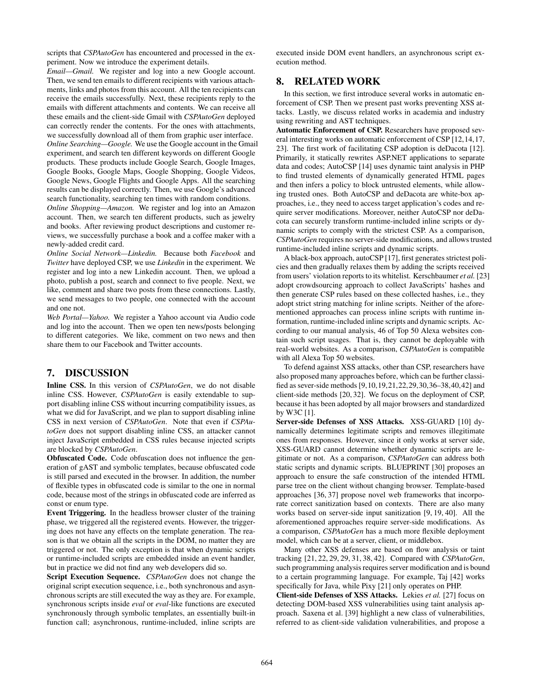scripts that *CSPAutoGen* has encountered and processed in the experiment. Now we introduce the experiment details.

*Email—Gmail.* We register and log into a new Google account. Then, we send ten emails to different recipients with various attachments, links and photos from this account. All the ten recipients can receive the emails successfully. Next, these recipients reply to the emails with different attachments and contents. We can receive all these emails and the client-side Gmail with *CSPAutoGen* deployed can correctly render the contents. For the ones with attachments, we successfully download all of them from graphic user interface.

*Online Searching—Google.* We use the Google account in the Gmail experiment, and search ten different keywords on different Google products. These products include Google Search, Google Images, Google Books, Google Maps, Google Shopping, Google Videos, Google News, Google Flights and Google Apps. All the searching results can be displayed correctly. Then, we use Google's advanced search functionality, searching ten times with random conditions.

*Online Shopping—Amazon.* We register and log into an Amazon account. Then, we search ten different products, such as jewelry and books. After reviewing product descriptions and customer reviews, we successfully purchase a book and a coffee maker with a newly-added credit card.

*Online Social Network—Linkedin.* Because both *Facebook* and *Twitter* have deployed CSP, we use *Linkedin* in the experiment. We register and log into a new Linkedin account. Then, we upload a photo, publish a post, search and connect to five people. Next, we like, comment and share two posts from these connections. Lastly, we send messages to two people, one connected with the account and one not.

*Web Portal—Yahoo.* We register a Yahoo account via Audio code and log into the account. Then we open ten news/posts belonging to different categories. We like, comment on two news and then share them to our Facebook and Twitter accounts.

# 7. DISCUSSION

Inline CSS. In this version of *CSPAutoGen*, we do not disable inline CSS. However, *CSPAutoGen* is easily extendable to support disabling inline CSS without incurring compatibility issues, as what we did for JavaScript, and we plan to support disabling inline CSS in next version of *CSPAutoGen*. Note that even if *CSPAutoGen* does not support disabling inline CSS, an attacker cannot inject JavaScript embedded in CSS rules because injected scripts are blocked by *CSPAutoGen*.

Obfuscated Code. Code obfuscation does not influence the generation of gAST and symbolic templates, because obfuscated code is still parsed and executed in the browser. In addition, the number of flexible types in obfuscated code is similar to the one in normal code, because most of the strings in obfuscated code are inferred as const or enum type.

Event Triggering. In the headless browser cluster of the training phase, we triggered all the registered events. However, the triggering does not have any effects on the template generation. The reason is that we obtain all the scripts in the DOM, no matter they are triggered or not. The only exception is that when dynamic scripts or runtime-included scripts are embedded inside an event handler, but in practice we did not find any web developers did so.

Script Execution Sequence. *CSPAutoGen* does not change the original script execution sequence, i.e., both synchronous and asynchronous scripts are still executed the way as they are. For example, synchronous scripts inside *eval* or *eval*-like functions are executed synchronously through symbolic templates, an essentially built-in function call; asynchronous, runtime-included, inline scripts are executed inside DOM event handlers, an asynchronous script execution method.

# 8. RELATED WORK

In this section, we first introduce several works in automatic enforcement of CSP. Then we present past works preventing XSS attacks. Lastly, we discuss related works in academia and industry using rewriting and AST techniques.

Automatic Enforcement of CSP. Researchers have proposed several interesting works on automatic enforcement of CSP [12,14,17, 23]. The first work of facilitating CSP adoption is deDacota [12]. Primarily, it statically rewrites ASP.NET applications to separate data and codes; AutoCSP [14] uses dynamic taint analysis in PHP to find trusted elements of dynamically generated HTML pages and then infers a policy to block untrusted elements, while allowing trusted ones. Both AutoCSP and deDacota are white-box approaches, i.e., they need to access target application's codes and require server modifications. Moreover, neither AutoCSP nor deDacota can securely transform runtime-included inline scripts or dynamic scripts to comply with the strictest CSP. As a comparison, *CSPAutoGen* requires no server-side modifications, and allows trusted runtime-included inline scripts and dynamic scripts.

A black-box approach, autoCSP [17], first generates strictest policies and then gradually relaxes them by adding the scripts received from users' violation reports to its whitelist. Kerschbaumer *et al.* [23] adopt crowdsourcing approach to collect JavaScripts' hashes and then generate CSP rules based on these collected hashes, i.e., they adopt strict string matching for inline scripts. Neither of the aforementioned approaches can process inline scripts with runtime information, runtime-included inline scripts and dynamic scripts. According to our manual analysis, 46 of Top 50 Alexa websites contain such script usages. That is, they cannot be deployable with real-world websites. As a comparison, *CSPAutoGen* is compatible with all Alexa Top 50 websites.

To defend against XSS attacks, other than CSP, researchers have also proposed many approaches before, which can be further classified as sever-side methods [9,10,19,21,22,29,30,36–38,40,42] and client-side methods [20, 32]. We focus on the deployment of CSP, because it has been adopted by all major browsers and standardized by W3C [1].

Server-side Defenses of XSS Attacks. XSS-GUARD [10] dynamically determines legitimate scripts and removes illegitimate ones from responses. However, since it only works at server side, XSS-GUARD cannot determine whether dynamic scripts are legitimate or not. As a comparison, *CSPAutoGen* can address both static scripts and dynamic scripts. BLUEPRINT [30] proposes an approach to ensure the safe construction of the intended HTML parse tree on the client without changing browser. Template-based approaches [36, 37] propose novel web frameworks that incorporate correct sanitization based on contexts. There are also many works based on server-side input sanitization [9, 19, 40]. All the aforementioned approaches require server-side modifications. As a comparison, *CSPAutoGen* has a much more flexible deployment model, which can be at a server, client, or middlebox.

Many other XSS defenses are based on flow analysis or taint tracking [21, 22, 29, 29, 31, 38, 42]. Compared with *CSPAutoGen*, such programming analysis requires server modification and is bound to a certain programming language. For example, Taj [42] works specifically for Java, while Pixy [21] only operates on PHP.

Client-side Defenses of XSS Attacks. Lekies *et al.* [27] focus on detecting DOM-based XSS vulnerabilities using taint analysis approach. Saxena et al. [39] highlight a new class of vulnerabilities, referred to as client-side validation vulnerabilities, and propose a